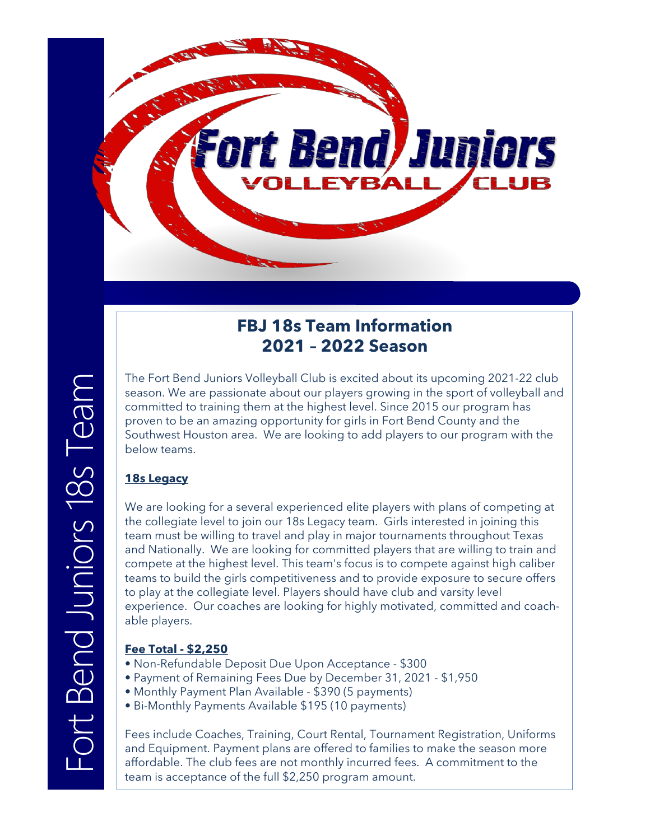

## **FBJ 18s Team Information 2021 – 2022 Season**

The Fort Bend Juniors Volleyball Club is excited about its upcoming 2021-22 club season. We are passionate about our players growing in the sport of volleyball and committed to training them at the highest level. Since 2015 our program has proven to be an amazing opportunity for girls in Fort Bend County and the Southwest Houston area. We are looking to add players to our program with the below teams.

## **18s Legacy**

We are looking for a several experienced elite players with plans of competing at the collegiate level to join our 18s Legacy team. Girls interested in joining this team must be willing to travel and play in major tournaments throughout Texas and Nationally. We are looking for committed players that are willing to train and compete at the highest level. This team's focus is to compete against high caliber teams to build the girls competitiveness and to provide exposure to secure offers to play at the collegiate level. Players should have club and varsity level experience. Our coaches are looking for highly motivated, committed and coachable players.

### **Fee Total - \$2,250**

- Non-Refundable Deposit Due Upon Acceptance \$300
- Payment of Remaining Fees Due by December 31, 2021 \$1,950
- Monthly Payment Plan Available \$390 (5 payments)
- Bi-Monthly Payments Available \$195 (10 payments)

Fees include Coaches, Training, Court Rental, Tournament Registration, Uniforms and Equipment. Payment plans are offered to families to make the season more affordable. The club fees are not monthly incurred fees. A commitment to the team is acceptance of the full \$2,250 program amount.